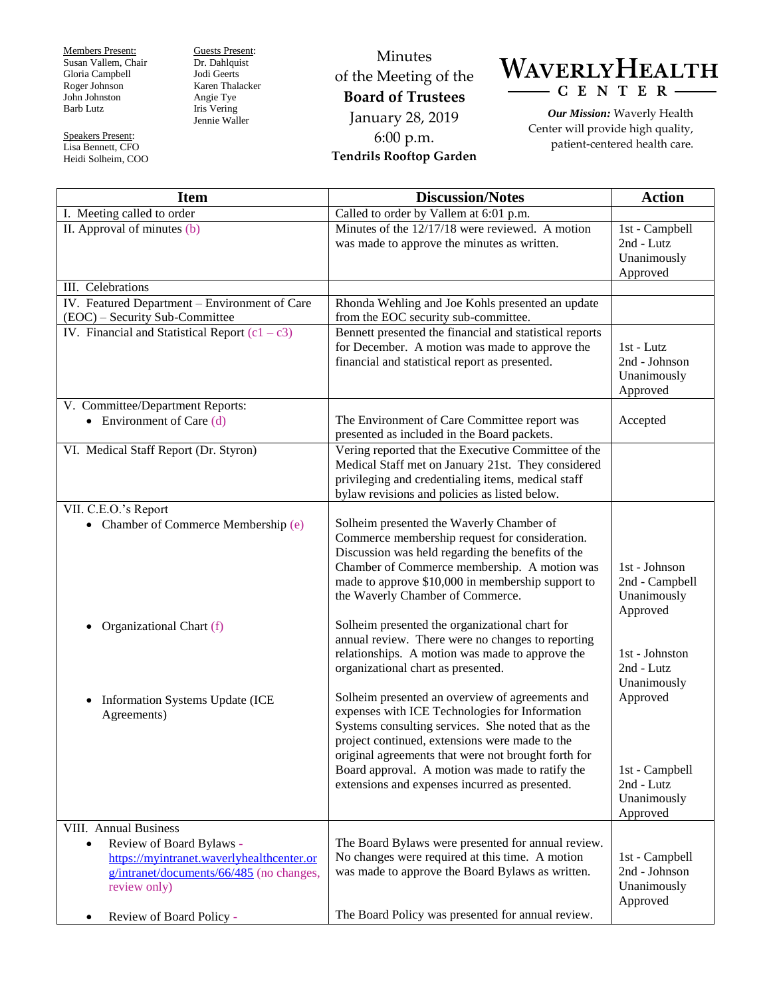Members Present: Susan Vallem, Chair Gloria Campbell Roger Johnson John Johnston Barb Lutz

Speakers Present: Lisa Bennett, CFO Heidi Solheim, COO Guests Present: Dr. Dahlquist Jodi Geerts Karen Thalacker Angie Tye Iris Vering Jennie Waller

Minutes of the Meeting of the **Board of Trustees** January 28, 2019 6:00 p.m. **Tendrils Rooftop Garden**



*Our Mission:* Waverly Health Center will provide high quality, patient-centered health care.

| <b>Item</b>                                                                                                                                    | <b>Discussion/Notes</b>                                                                                                                                                                                                                                                                                            | <b>Action</b>                                              |
|------------------------------------------------------------------------------------------------------------------------------------------------|--------------------------------------------------------------------------------------------------------------------------------------------------------------------------------------------------------------------------------------------------------------------------------------------------------------------|------------------------------------------------------------|
| I. Meeting called to order                                                                                                                     | Called to order by Vallem at 6:01 p.m.                                                                                                                                                                                                                                                                             |                                                            |
| II. Approval of minutes (b)                                                                                                                    | Minutes of the $12/17/18$ were reviewed. A motion<br>was made to approve the minutes as written.                                                                                                                                                                                                                   | 1st - Campbell<br>2nd - Lutz<br>Unanimously<br>Approved    |
| III. Celebrations                                                                                                                              |                                                                                                                                                                                                                                                                                                                    |                                                            |
| IV. Featured Department - Environment of Care<br>(EOC) - Security Sub-Committee                                                                | Rhonda Wehling and Joe Kohls presented an update<br>from the EOC security sub-committee.                                                                                                                                                                                                                           |                                                            |
| IV. Financial and Statistical Report $(c1 - c3)$                                                                                               | Bennett presented the financial and statistical reports<br>for December. A motion was made to approve the<br>financial and statistical report as presented.                                                                                                                                                        | 1st - Lutz<br>2nd - Johnson<br>Unanimously<br>Approved     |
| V. Committee/Department Reports:                                                                                                               |                                                                                                                                                                                                                                                                                                                    |                                                            |
| • Environment of Care $(d)$                                                                                                                    | The Environment of Care Committee report was<br>presented as included in the Board packets.                                                                                                                                                                                                                        | Accepted                                                   |
| VI. Medical Staff Report (Dr. Styron)                                                                                                          | Vering reported that the Executive Committee of the<br>Medical Staff met on January 21st. They considered<br>privileging and credentialing items, medical staff<br>bylaw revisions and policies as listed below.                                                                                                   |                                                            |
| VII. C.E.O.'s Report                                                                                                                           |                                                                                                                                                                                                                                                                                                                    |                                                            |
| • Chamber of Commerce Membership (e)                                                                                                           | Solheim presented the Waverly Chamber of<br>Commerce membership request for consideration.<br>Discussion was held regarding the benefits of the<br>Chamber of Commerce membership. A motion was<br>made to approve \$10,000 in membership support to<br>the Waverly Chamber of Commerce.                           | 1st - Johnson<br>2nd - Campbell<br>Unanimously<br>Approved |
| Organizational Chart (f)                                                                                                                       | Solheim presented the organizational chart for<br>annual review. There were no changes to reporting<br>relationships. A motion was made to approve the<br>organizational chart as presented.<br>Solheim presented an overview of agreements and                                                                    | 1st - Johnston<br>2nd - Lutz<br>Unanimously<br>Approved    |
| Information Systems Update (ICE<br>$\bullet$<br>Agreements)                                                                                    | expenses with ICE Technologies for Information<br>Systems consulting services. She noted that as the<br>project continued, extensions were made to the<br>original agreements that were not brought forth for<br>Board approval. A motion was made to ratify the<br>extensions and expenses incurred as presented. | 1st - Campbell<br>2nd - Lutz<br>Unanimously<br>Approved    |
| VIII. Annual Business                                                                                                                          |                                                                                                                                                                                                                                                                                                                    |                                                            |
| Review of Board Bylaws -<br>$\bullet$<br>https://myintranet.waverlyhealthcenter.or<br>g/intranet/documents/66/485 (no changes,<br>review only) | The Board Bylaws were presented for annual review.<br>No changes were required at this time. A motion<br>was made to approve the Board Bylaws as written.                                                                                                                                                          | 1st - Campbell<br>2nd - Johnson<br>Unanimously<br>Approved |
| Review of Board Policy -<br>$\bullet$                                                                                                          | The Board Policy was presented for annual review.                                                                                                                                                                                                                                                                  |                                                            |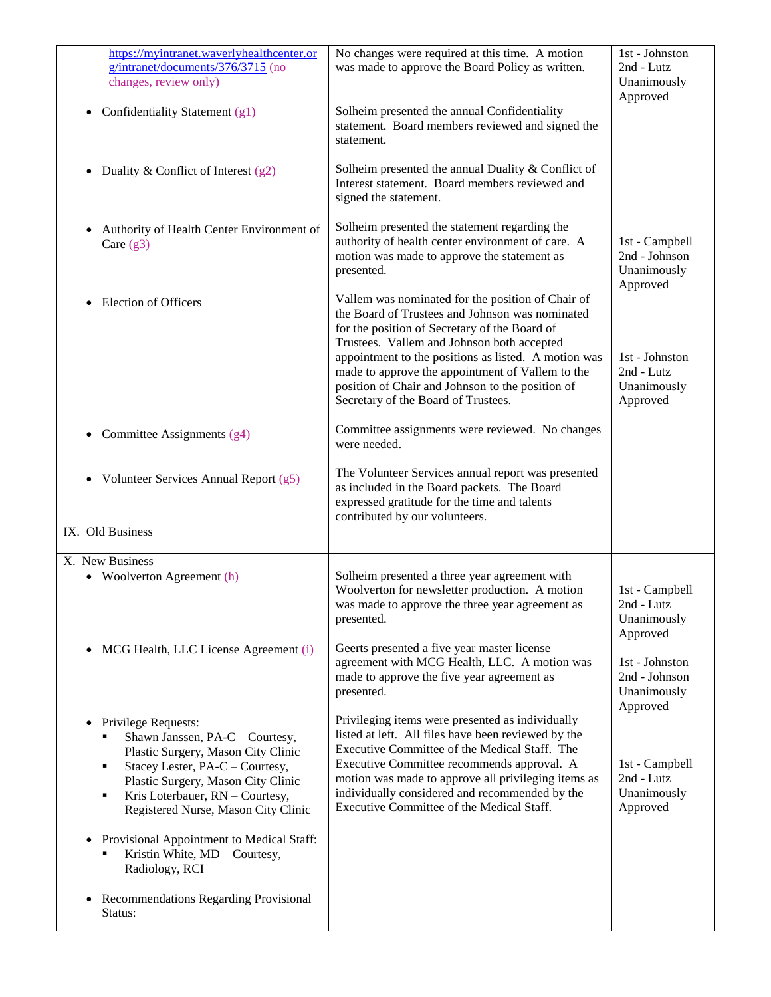| https://myintranet.waverlyhealthcenter.or<br>g/intranet/documents/376/3715 (no<br>changes, review only)                                                                                                                                                                             | No changes were required at this time. A motion<br>was made to approve the Board Policy as written.                                                                                                                                                                                                                                                                                                        | 1st - Johnston<br>2nd - Lutz<br>Unanimously<br>Approved    |
|-------------------------------------------------------------------------------------------------------------------------------------------------------------------------------------------------------------------------------------------------------------------------------------|------------------------------------------------------------------------------------------------------------------------------------------------------------------------------------------------------------------------------------------------------------------------------------------------------------------------------------------------------------------------------------------------------------|------------------------------------------------------------|
| Confidentiality Statement (g1)<br>$\bullet$                                                                                                                                                                                                                                         | Solheim presented the annual Confidentiality<br>statement. Board members reviewed and signed the<br>statement.                                                                                                                                                                                                                                                                                             |                                                            |
| Duality & Conflict of Interest $(g2)$<br>$\bullet$                                                                                                                                                                                                                                  | Solheim presented the annual Duality & Conflict of<br>Interest statement. Board members reviewed and<br>signed the statement.                                                                                                                                                                                                                                                                              |                                                            |
| Authority of Health Center Environment of<br>$\bullet$<br>Care $(g3)$                                                                                                                                                                                                               | Solheim presented the statement regarding the<br>authority of health center environment of care. A<br>motion was made to approve the statement as<br>presented.                                                                                                                                                                                                                                            | 1st - Campbell<br>2nd - Johnson<br>Unanimously<br>Approved |
| <b>Election of Officers</b><br>$\bullet$                                                                                                                                                                                                                                            | Vallem was nominated for the position of Chair of<br>the Board of Trustees and Johnson was nominated<br>for the position of Secretary of the Board of<br>Trustees. Vallem and Johnson both accepted<br>appointment to the positions as listed. A motion was<br>made to approve the appointment of Vallem to the<br>position of Chair and Johnson to the position of<br>Secretary of the Board of Trustees. | 1st - Johnston<br>2nd - Lutz<br>Unanimously<br>Approved    |
| Committee Assignments (g4)<br>$\bullet$                                                                                                                                                                                                                                             | Committee assignments were reviewed. No changes<br>were needed.                                                                                                                                                                                                                                                                                                                                            |                                                            |
| Volunteer Services Annual Report (g5)<br>$\bullet$                                                                                                                                                                                                                                  | The Volunteer Services annual report was presented<br>as included in the Board packets. The Board<br>expressed gratitude for the time and talents<br>contributed by our volunteers.                                                                                                                                                                                                                        |                                                            |
| IX. Old Business                                                                                                                                                                                                                                                                    |                                                                                                                                                                                                                                                                                                                                                                                                            |                                                            |
| X. New Business                                                                                                                                                                                                                                                                     |                                                                                                                                                                                                                                                                                                                                                                                                            |                                                            |
| • Woolverton Agreement (h)                                                                                                                                                                                                                                                          | Solheim presented a three year agreement with<br>Woolverton for newsletter production. A motion<br>was made to approve the three year agreement as<br>presented.                                                                                                                                                                                                                                           | 1st - Campbell<br>2nd - Lutz<br>Unanimously<br>Approved    |
| MCG Health, LLC License Agreement (i)<br>$\bullet$                                                                                                                                                                                                                                  | Geerts presented a five year master license<br>agreement with MCG Health, LLC. A motion was<br>made to approve the five year agreement as<br>presented.                                                                                                                                                                                                                                                    | 1st - Johnston<br>2nd - Johnson<br>Unanimously<br>Approved |
| Privilege Requests:<br>$\bullet$<br>Shawn Janssen, PA-C - Courtesy,<br>Plastic Surgery, Mason City Clinic<br>Stacey Lester, PA-C - Courtesy,<br>$\blacksquare$<br>Plastic Surgery, Mason City Clinic<br>Kris Loterbauer, RN - Courtesy,<br>٠<br>Registered Nurse, Mason City Clinic | Privileging items were presented as individually<br>listed at left. All files have been reviewed by the<br>Executive Committee of the Medical Staff. The<br>Executive Committee recommends approval. A<br>motion was made to approve all privileging items as<br>individually considered and recommended by the<br>Executive Committee of the Medical Staff.                                               | 1st - Campbell<br>2nd - Lutz<br>Unanimously<br>Approved    |
| Provisional Appointment to Medical Staff:<br>$\bullet$<br>Kristin White, MD - Courtesy,<br>٠<br>Radiology, RCI                                                                                                                                                                      |                                                                                                                                                                                                                                                                                                                                                                                                            |                                                            |
| Recommendations Regarding Provisional<br>$\bullet$<br>Status:                                                                                                                                                                                                                       |                                                                                                                                                                                                                                                                                                                                                                                                            |                                                            |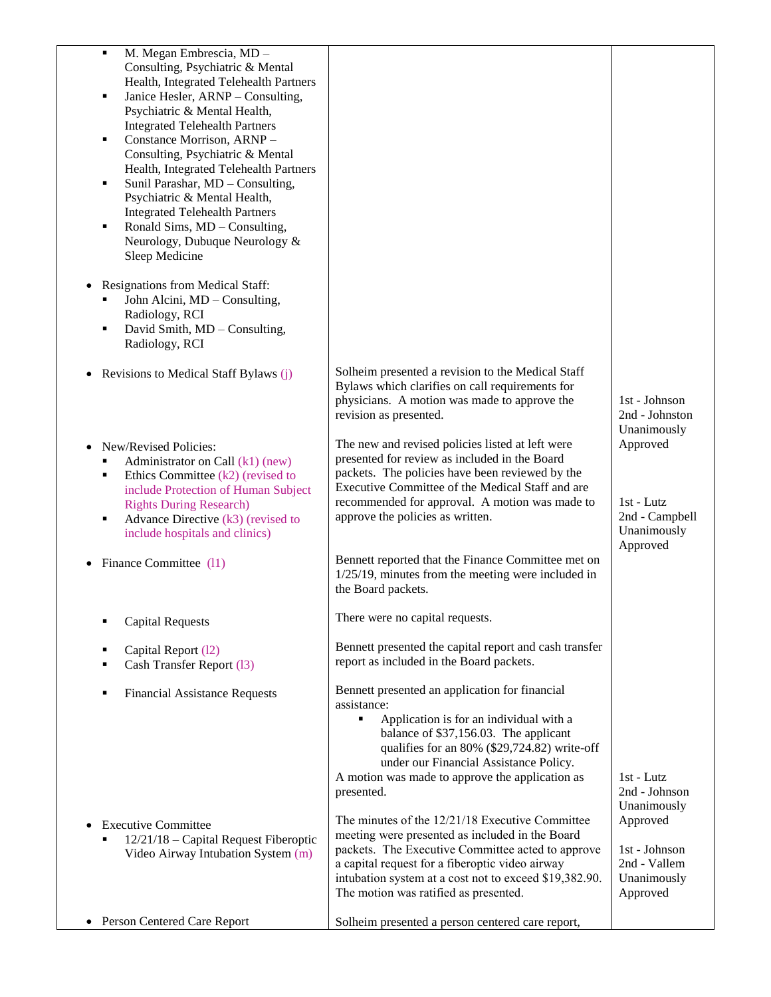| $\blacksquare$<br>M. Megan Embrescia, MD -<br>Consulting, Psychiatric & Mental<br>Health, Integrated Telehealth Partners<br>Janice Hesler, ARNP - Consulting,<br>٠<br>Psychiatric & Mental Health,<br><b>Integrated Telehealth Partners</b><br>Constance Morrison, ARNP-<br>٠<br>Consulting, Psychiatric & Mental<br>Health, Integrated Telehealth Partners<br>Sunil Parashar, MD - Consulting,<br>٠<br>Psychiatric & Mental Health,<br><b>Integrated Telehealth Partners</b><br>Ronald Sims, MD - Consulting,<br>٠<br>Neurology, Dubuque Neurology &<br>Sleep Medicine |                                                                                                                                                                                                                                                                                                |                                                                     |
|-------------------------------------------------------------------------------------------------------------------------------------------------------------------------------------------------------------------------------------------------------------------------------------------------------------------------------------------------------------------------------------------------------------------------------------------------------------------------------------------------------------------------------------------------------------------------|------------------------------------------------------------------------------------------------------------------------------------------------------------------------------------------------------------------------------------------------------------------------------------------------|---------------------------------------------------------------------|
| Resignations from Medical Staff:<br>John Alcini, MD - Consulting,<br>Radiology, RCI<br>David Smith, MD - Consulting,<br>٠<br>Radiology, RCI                                                                                                                                                                                                                                                                                                                                                                                                                             |                                                                                                                                                                                                                                                                                                |                                                                     |
| Revisions to Medical Staff Bylaws (j)                                                                                                                                                                                                                                                                                                                                                                                                                                                                                                                                   | Solheim presented a revision to the Medical Staff<br>Bylaws which clarifies on call requirements for<br>physicians. A motion was made to approve the<br>revision as presented.                                                                                                                 | 1st - Johnson<br>2nd - Johnston<br>Unanimously                      |
| New/Revised Policies:<br>Administrator on Call (k1) (new)<br>Ethics Committee $(k2)$ (revised to<br>٠<br>include Protection of Human Subject<br><b>Rights During Research)</b><br>Advance Directive (k3) (revised to<br>٠<br>include hospitals and clinics)                                                                                                                                                                                                                                                                                                             | The new and revised policies listed at left were<br>presented for review as included in the Board<br>packets. The policies have been reviewed by the<br>Executive Committee of the Medical Staff and are<br>recommended for approval. A motion was made to<br>approve the policies as written. | Approved<br>1st - Lutz<br>2nd - Campbell<br>Unanimously<br>Approved |
| Finance Committee (11)                                                                                                                                                                                                                                                                                                                                                                                                                                                                                                                                                  | Bennett reported that the Finance Committee met on<br>$1/25/19$ , minutes from the meeting were included in<br>the Board packets.                                                                                                                                                              |                                                                     |
| <b>Capital Requests</b>                                                                                                                                                                                                                                                                                                                                                                                                                                                                                                                                                 | There were no capital requests.                                                                                                                                                                                                                                                                |                                                                     |
| Capital Report (12)<br>Cash Transfer Report (13)                                                                                                                                                                                                                                                                                                                                                                                                                                                                                                                        | Bennett presented the capital report and cash transfer<br>report as included in the Board packets.                                                                                                                                                                                             |                                                                     |
| <b>Financial Assistance Requests</b>                                                                                                                                                                                                                                                                                                                                                                                                                                                                                                                                    | Bennett presented an application for financial<br>assistance:<br>Application is for an individual with a<br>٠<br>balance of \$37,156.03. The applicant<br>qualifies for an 80% (\$29,724.82) write-off<br>under our Financial Assistance Policy.                                               |                                                                     |
| <b>Executive Committee</b>                                                                                                                                                                                                                                                                                                                                                                                                                                                                                                                                              | A motion was made to approve the application as<br>presented.<br>The minutes of the 12/21/18 Executive Committee                                                                                                                                                                               | 1st - Lutz<br>2nd - Johnson<br>Unanimously<br>Approved              |
| 12/21/18 – Capital Request Fiberoptic<br>Video Airway Intubation System (m)                                                                                                                                                                                                                                                                                                                                                                                                                                                                                             | meeting were presented as included in the Board<br>packets. The Executive Committee acted to approve<br>a capital request for a fiberoptic video airway<br>intubation system at a cost not to exceed \$19,382.90.<br>The motion was ratified as presented.                                     | 1st - Johnson<br>2nd - Vallem<br>Unanimously<br>Approved            |
| Person Centered Care Report                                                                                                                                                                                                                                                                                                                                                                                                                                                                                                                                             | Solheim presented a person centered care report,                                                                                                                                                                                                                                               |                                                                     |